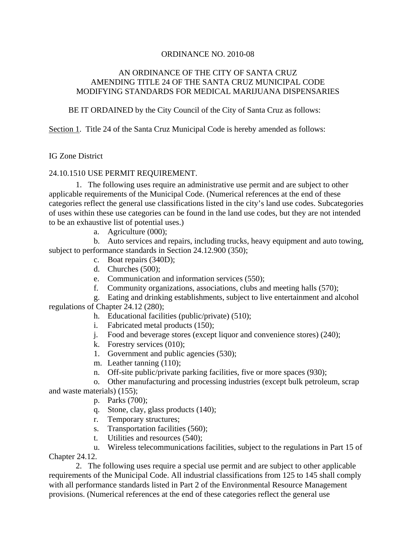## AN ORDINANCE OF THE CITY OF SANTA CRUZ AMENDING TITLE 24 OF THE SANTA CRUZ MUNICIPAL CODE MODIFYING STANDARDS FOR MEDICAL MARIJUANA DISPENSARIES

BE IT ORDAINED by the City Council of the City of Santa Cruz as follows:

Section 1. Title 24 of the Santa Cruz Municipal Code is hereby amended as follows:

## IG Zone District

## 24.10.1510 USE PERMIT REQUIREMENT.

1. The following uses require an administrative use permit and are subject to other applicable requirements of the Municipal Code. (Numerical references at the end of these categories reflect the general use classifications listed in the city's land use codes. Subcategories of uses within these use categories can be found in the land use codes, but they are not intended to be an exhaustive list of potential uses.)

a. Agriculture (000);

b. Auto services and repairs, including trucks, heavy equipment and auto towing, subject to performance standards in Section [24.12.900](http://www.codepublishing.com/CA/SantaCruz/html/SantaCruz24/SantaCruz2412.html#24.12.900) (350);

- c. Boat repairs (340D);
- d. Churches (500);
- e. Communication and information services (550);
- f. Community organizations, associations, clubs and meeting halls (570);

g. Eating and drinking establishments, subject to live entertainment and alcohol regulations of Chapter 24.12 (280);

- h. Educational facilities (public/private) (510);
- i. Fabricated metal products (150);
- j. Food and beverage stores (except liquor and convenience stores) (240);
- k. Forestry services (010);
- 1. Government and public agencies (530);
- m. Leather tanning  $(110)$ ;
- n. Off-site public/private parking facilities, five or more spaces (930);
- o. Other manufacturing and processing industries (except bulk petroleum, scrap

and waste materials) (155);

- p. Parks (700);
- q. Stone, clay, glass products (140);
- r. Temporary structures;
- s. Transportation facilities (560);
- t. Utilities and resources (540);

# u. Wireless telecommunications facilities, subject to the regulations in Part 15 of

Chapter 24.12.

2. The following uses require a special use permit and are subject to other applicable requirements of the Municipal Code. All industrial classifications from 125 to 145 shall comply with all performance standards listed in Part 2 of the Environmental Resource Management provisions. (Numerical references at the end of these categories reflect the general use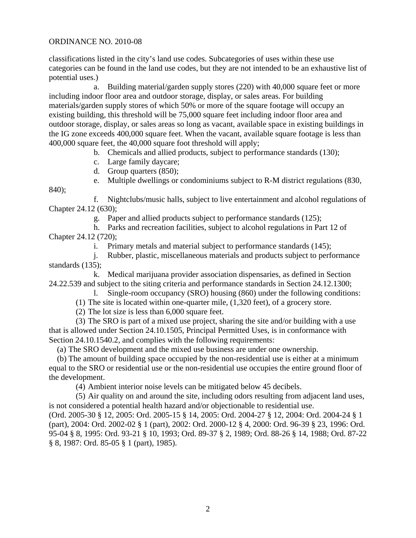classifications listed in the city's land use codes. Subcategories of uses within these use categories can be found in the land use codes, but they are not intended to be an exhaustive list of potential uses.)

a. Building material/garden supply stores (220) with 40,000 square feet or more including indoor floor area and outdoor storage, display, or sales areas. For building materials/garden supply stores of which 50% or more of the square footage will occupy an existing building, this threshold will be 75,000 square feet including indoor floor area and outdoor storage, display, or sales areas so long as vacant, available space in existing buildings in the IG zone exceeds 400,000 square feet. When the vacant, available square footage is less than 400,000 square feet, the 40,000 square foot threshold will apply;

b. Chemicals and allied products, subject to performance standards (130);

- c. Large family daycare;
- d. Group quarters (850);
- e. Multiple dwellings or condominiums subject to R-M district regulations (830,

840);

f. Nightclubs/music halls, subject to live entertainment and alcohol regulations of Chapter 24.12 (630);

g. Paper and allied products subject to performance standards (125);

h. Parks and recreation facilities, subject to alcohol regulations in Part 12 of Chapter 24.12 (720);

i. Primary metals and material subject to performance standards (145);

j. Rubber, plastic, miscellaneous materials and products subject to performance standards (135);

k. Medical marijuana provider association dispensaries, as defined in Section [24.22.539](http://www.codepublishing.com/CA/SantaCruz/html/SantaCruz24/SantaCruz2422.html#24.22.539) and subject to the siting criteria and performance standards in Section [24.12.1300;](http://www.codepublishing.com/CA/SantaCruz/html/SantaCruz24/SantaCruz2412.html#24.12.1300)

l. Single-room occupancy (SRO) housing (860) under the following conditions:

(1) The site is located within one-quarter mile, (1,320 feet), of a grocery store.

(2) The lot size is less than 6,000 square feet.

(3) The SRO is part of a mixed use project, sharing the site and/or building with a use that is allowed under Section [24.10.1505](http://www.codepublishing.com/CA/SantaCruz/html/SantaCruz24/SantaCruz2410.html#24.10.1505), Principal Permitted Uses, is in conformance with Section [24.10.1540.](http://www.codepublishing.com/CA/SantaCruz/html/SantaCruz24/SantaCruz2410.html#24.10.1540)2, and complies with the following requirements:

(a) The SRO development and the mixed use business are under one ownership.

(b) The amount of building space occupied by the non-residential use is either at a minimum equal to the SRO or residential use or the non-residential use occupies the entire ground floor of the development.

(4) Ambient interior noise levels can be mitigated below 45 decibels.

(5) Air quality on and around the site, including odors resulting from adjacent land uses, is not considered a potential health hazard and/or objectionable to residential use.

(Ord. 2005-30 § 12, 2005: Ord. 2005-15 § 14, 2005: Ord. 2004-27 § 12, 2004: Ord. 2004-24 § 1 (part), 2004: Ord. 2002-02 § 1 (part), 2002: Ord. 2000-12 § 4, 2000: Ord. 96-39 § 23, 1996: Ord. 95-04 § 8, 1995: Ord. 93-21 § 10, 1993; Ord. 89-37 § 2, 1989; Ord. 88-26 § 14, 1988; Ord. 87-22 § 8, 1987: Ord. 85-05 § 1 (part), 1985).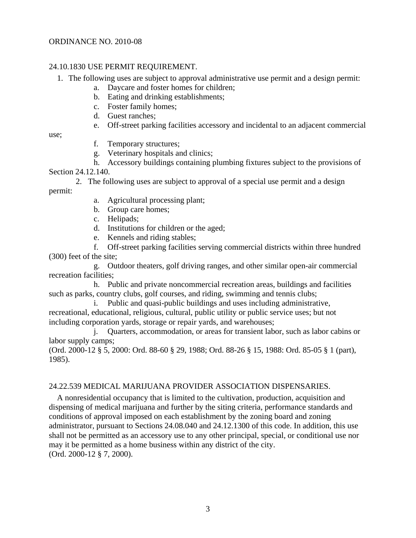## 24.10.1830 USE PERMIT REQUIREMENT.

- 1. The following uses are subject to approval administrative use permit and a design permit:
	- a. Daycare and foster homes for children;
	- b. Eating and drinking establishments;
	- c. Foster family homes;
	- d. Guest ranches;
	- e. Off-street parking facilities accessory and incidental to an adjacent commercial

use;

- f. Temporary structures;
- g. Veterinary hospitals and clinics;
- h. Accessory buildings containing plumbing fixtures subject to the provisions of

Section [24.12.140.](http://www.codepublishing.com/CA/SantaCruz/html/SantaCruz24/SantaCruz2412.html#24.12.140)

2. The following uses are subject to approval of a special use permit and a design permit:

- a. Agricultural processing plant;
- b. Group care homes;
- c. Helipads;
- d. Institutions for children or the aged;
- e. Kennels and riding stables;

f. Off-street parking facilities serving commercial districts within three hundred (300) feet of the site;

g. Outdoor theaters, golf driving ranges, and other similar open-air commercial recreation facilities;

h. Public and private noncommercial recreation areas, buildings and facilities such as parks, country clubs, golf courses, and riding, swimming and tennis clubs;

i. Public and quasi-public buildings and uses including administrative, recreational, educational, religious, cultural, public utility or public service uses; but not including corporation yards, storage or repair yards, and warehouses;

j. Quarters, accommodation, or areas for transient labor, such as labor cabins or labor supply camps;

(Ord. 2000-12 § 5, 2000: Ord. 88-60 § 29, 1988; Ord. 88-26 § 15, 1988: Ord. 85-05 § 1 (part), 1985).

#### 24.22.539 MEDICAL MARIJUANA PROVIDER ASSOCIATION DISPENSARIES.

A nonresidential occupancy that is limited to the cultivation, production, acquisition and dispensing of medical marijuana and further by the siting criteria, performance standards and conditions of approval imposed on each establishment by the zoning board and zoning administrator, pursuant to Sections [24.08.040](http://www.codepublishing.com/CA/SantaCruz/html/SantaCruz24/SantaCruz2408.html#24.08.040) and [24.12.1300](http://www.codepublishing.com/CA/SantaCruz/html/SantaCruz24/SantaCruz2412.html#24.12.1300) of this code. In addition, this use shall not be permitted as an accessory use to any other principal, special, or conditional use nor may it be permitted as a home business within any district of the city. (Ord. 2000-12 § 7, 2000).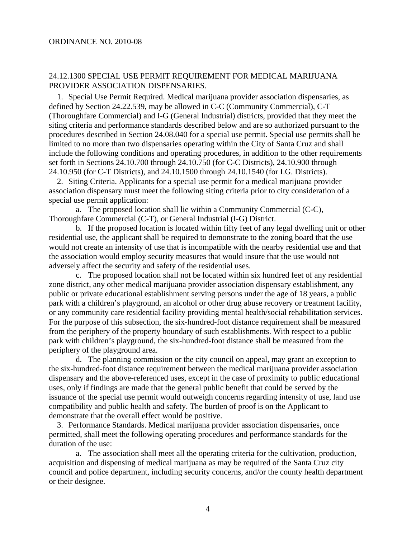## 24.12.1300 SPECIAL USE PERMIT REQUIREMENT FOR MEDICAL MARIJUANA PROVIDER ASSOCIATION DISPENSARIES.

1. Special Use Permit Required. Medical marijuana provider association dispensaries, as defined by Section [24.22.539](http://www.codepublishing.com/CA/SantaCruz/html/SantaCruz24/SantaCruz2422.html#24.22.539), may be allowed in C-C (Community Commercial), C-T (Thoroughfare Commercial) and I-G (General Industrial) districts, provided that they meet the siting criteria and performance standards described below and are so authorized pursuant to the procedures described in Section [24.08.040](http://www.codepublishing.com/CA/SantaCruz/html/SantaCruz24/SantaCruz2408.html#24.08.040) for a special use permit. Special use permits shall be limited to no more than two dispensaries operating within the City of Santa Cruz and shall include the following conditions and operating procedures, in addition to the other requirements set forth in Sections [24.10.700](http://www.codepublishing.com/CA/SantaCruz/html/SantaCruz24/SantaCruz2410.html#24.10.700) through [24.10.750](http://www.codepublishing.com/CA/SantaCruz/html/SantaCruz24/SantaCruz2410.html#24.10.750) (for C-C Districts), [24.10.900](http://www.codepublishing.com/CA/SantaCruz/html/SantaCruz24/SantaCruz2410.html#24.10.900) through [24.10.950](http://www.codepublishing.com/CA/SantaCruz/html/SantaCruz24/SantaCruz2410.html#24.10.950) (for C-T Districts), and [24.10.1500](http://www.codepublishing.com/CA/SantaCruz/html/SantaCruz24/SantaCruz2410.html#24.10.1500) through [24.10.1540](http://www.codepublishing.com/CA/SantaCruz/html/SantaCruz24/SantaCruz2410.html#24.10.1540) (for I.G. Districts).

2. Siting Criteria. Applicants for a special use permit for a medical marijuana provider association dispensary must meet the following siting criteria prior to city consideration of a special use permit application:

a. The proposed location shall lie within a Community Commercial (C-C), Thoroughfare Commercial (C-T), or General Industrial (I-G) District.

b. If the proposed location is located within fifty feet of any legal dwelling unit or other residential use, the applicant shall be required to demonstrate to the zoning board that the use would not create an intensity of use that is incompatible with the nearby residential use and that the association would employ security measures that would insure that the use would not adversely affect the security and safety of the residential uses.

c. The proposed location shall not be located within six hundred feet of any residential zone district, any other medical marijuana provider association dispensary establishment, any public or private educational establishment serving persons under the age of 18 years, a public park with a children's playground, an alcohol or other drug abuse recovery or treatment facility, or any community care residential facility providing mental health/social rehabilitation services. For the purpose of this subsection, the six-hundred-foot distance requirement shall be measured from the periphery of the property boundary of such establishments. With respect to a public park with children's playground, the six-hundred-foot distance shall be measured from the periphery of the playground area.

d. The planning commission or the city council on appeal, may grant an exception to the six-hundred-foot distance requirement between the medical marijuana provider association dispensary and the above-referenced uses, except in the case of proximity to public educational uses, only if findings are made that the general public benefit that could be served by the issuance of the special use permit would outweigh concerns regarding intensity of use, land use compatibility and public health and safety. The burden of proof is on the Applicant to demonstrate that the overall effect would be positive.

3. Performance Standards. Medical marijuana provider association dispensaries, once permitted, shall meet the following operating procedures and performance standards for the duration of the use:

a. The association shall meet all the operating criteria for the cultivation, production, acquisition and dispensing of medical marijuana as may be required of the Santa Cruz city council and police department, including security concerns, and/or the county health department or their designee.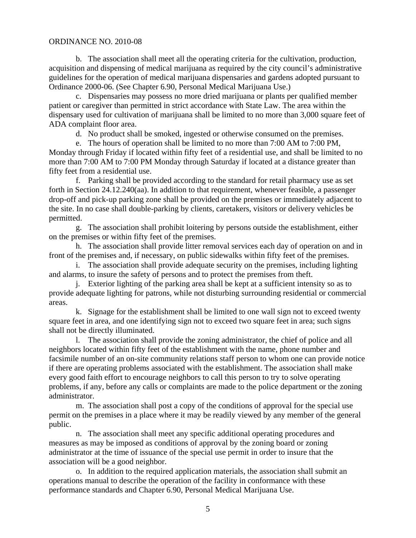b. The association shall meet all the operating criteria for the cultivation, production, acquisition and dispensing of medical marijuana as required by the city council's administrative guidelines for the operation of medical marijuana dispensaries and gardens adopted pursuant to Ordinance 2000-06. (See Chapter 6.90, Personal Medical Marijuana Use.)

c. Dispensaries may possess no more dried marijuana or plants per qualified member patient or caregiver than permitted in strict accordance with State Law. The area within the dispensary used for cultivation of marijuana shall be limited to no more than 3,000 square feet of ADA complaint floor area.

d. No product shall be smoked, ingested or otherwise consumed on the premises.

e. The hours of operation shall be limited to no more than 7:00 AM to 7:00 PM, Monday through Friday if located within fifty feet of a residential use, and shall be limited to no more than 7:00 AM to 7:00 PM Monday through Saturday if located at a distance greater than fifty feet from a residential use.

f. Parking shall be provided according to the standard for retail pharmacy use as set forth in Section [24.12.240\(](http://www.codepublishing.com/CA/SantaCruz/html/SantaCruz24/SantaCruz2412.html#24.12.240)aa). In addition to that requirement, whenever feasible, a passenger drop-off and pick-up parking zone shall be provided on the premises or immediately adjacent to the site. In no case shall double-parking by clients, caretakers, visitors or delivery vehicles be permitted.

g. The association shall prohibit loitering by persons outside the establishment, either on the premises or within fifty feet of the premises.

h. The association shall provide litter removal services each day of operation on and in front of the premises and, if necessary, on public sidewalks within fifty feet of the premises.

i. The association shall provide adequate security on the premises, including lighting and alarms, to insure the safety of persons and to protect the premises from theft.

j. Exterior lighting of the parking area shall be kept at a sufficient intensity so as to provide adequate lighting for patrons, while not disturbing surrounding residential or commercial areas.

k. Signage for the establishment shall be limited to one wall sign not to exceed twenty square feet in area, and one identifying sign not to exceed two square feet in area; such signs shall not be directly illuminated.

l. The association shall provide the zoning administrator, the chief of police and all neighbors located within fifty feet of the establishment with the name, phone number and facsimile number of an on-site community relations staff person to whom one can provide notice if there are operating problems associated with the establishment. The association shall make every good faith effort to encourage neighbors to call this person to try to solve operating problems, if any, before any calls or complaints are made to the police department or the zoning administrator.

m. The association shall post a copy of the conditions of approval for the special use permit on the premises in a place where it may be readily viewed by any member of the general public.

n. The association shall meet any specific additional operating procedures and measures as may be imposed as conditions of approval by the zoning board or zoning administrator at the time of issuance of the special use permit in order to insure that the association will be a good neighbor.

o. In addition to the required application materials, the association shall submit an operations manual to describe the operation of the facility in conformance with these performance standards and Chapter 6.90, Personal Medical Marijuana Use.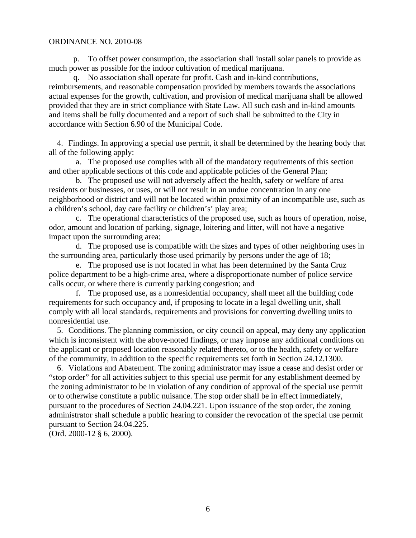p. To offset power consumption, the association shall install solar panels to provide as much power as possible for the indoor cultivation of medical marijuana.

q. No association shall operate for profit. Cash and in-kind contributions, reimbursements, and reasonable compensation provided by members towards the associations actual expenses for the growth, cultivation, and provision of medical marijuana shall be allowed provided that they are in strict compliance with State Law. All such cash and in-kind amounts and items shall be fully documented and a report of such shall be submitted to the City in accordance with Section 6.90 of the Municipal Code.

4. Findings. In approving a special use permit, it shall be determined by the hearing body that all of the following apply:

a. The proposed use complies with all of the mandatory requirements of this section and other applicable sections of this code and applicable policies of the General Plan;

b. The proposed use will not adversely affect the health, safety or welfare of area residents or businesses, or uses, or will not result in an undue concentration in any one neighborhood or district and will not be located within proximity of an incompatible use, such as a children's school, day care facility or children's' play area;

c. The operational characteristics of the proposed use, such as hours of operation, noise, odor, amount and location of parking, signage, loitering and litter, will not have a negative impact upon the surrounding area;

d. The proposed use is compatible with the sizes and types of other neighboring uses in the surrounding area, particularly those used primarily by persons under the age of 18;

e. The proposed use is not located in what has been determined by the Santa Cruz police department to be a high-crime area, where a disproportionate number of police service calls occur, or where there is currently parking congestion; and

f. The proposed use, as a nonresidential occupancy, shall meet all the building code requirements for such occupancy and, if proposing to locate in a legal dwelling unit, shall comply with all local standards, requirements and provisions for converting dwelling units to nonresidential use.

5. Conditions. The planning commission, or city council on appeal, may deny any application which is inconsistent with the above-noted findings, or may impose any additional conditions on the applicant or proposed location reasonably related thereto, or to the health, safety or welfare of the community, in addition to the specific requirements set forth in Section [24.12.1300.](http://www.codepublishing.com/CA/SantaCruz/html/SantaCruz24/SantaCruz2412.html#24.12.1300)

6. Violations and Abatement. The zoning administrator may issue a cease and desist order or "stop order" for all activities subject to this special use permit for any establishment deemed by the zoning administrator to be in violation of any condition of approval of the special use permit or to otherwise constitute a public nuisance. The stop order shall be in effect immediately, pursuant to the procedures of Section [24.04.221.](http://www.codepublishing.com/CA/SantaCruz/html/SantaCruz24/SantaCruz2404.html#24.04.221) Upon issuance of the stop order, the zoning administrator shall schedule a public hearing to consider the revocation of the special use permit pursuant to Section [24.04.225.](http://www.codepublishing.com/CA/SantaCruz/html/SantaCruz24/SantaCruz2404.html#24.04.225)

(Ord. 2000-12 § 6, 2000).